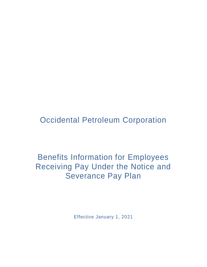Occidental Petroleum Corporation

Benefits Information for Employees Receiving Pay Under the Notice and Severance Pay Plan

Effective January 1, 2021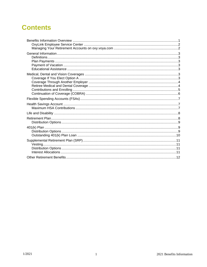# <span id="page-1-0"></span>**Contents**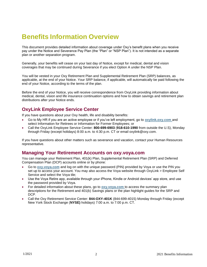# **Benefits Information Overview**

This document provides detailed information about coverage under Oxy's benefit plans when you receive pay under the Notice and Severance Pay Plan (the "Plan" or "NSP Plan"). It is not intended as a separate plan or another separation program.

Generally, your benefits will cease on your last day of Notice, except for medical, dental and vision coverages that may be continued during Severance if you elect Option A under the NSP Plan.

You will be vested in your Oxy Retirement Plan and Supplemental Retirement Plan (SRP) balances, as applicable, at the end of your Notice. Your SRP balance, if applicable, will automatically be paid following the end of your Notice, according to the terms of the plan.

Before the end of your Notice, you will receive correspondence from OxyLink providing information about medical, dental, vision and life insurance continuation options and how to obtain savings and retirement plan distributions after your Notice ends.

#### <span id="page-2-0"></span>**OxyLink Employee Service Center**

If you have questions about your Oxy health, life and disability benefits:

- Go to My HR if you are an active employee or if you've left employment, go to **[oxylink.oxy.com](http://oxylink.oxy.com/)** and select Information for Retirees or Information for Former Employees; or
- Call the OxyLink Employee Service Center: **800-699-6903** (**918-610-1990** from outside the U.S), Monday through Friday (except holidays) 8:00 a.m. to 4:30 p.m. CT or email oxylink@oxy.com.

If you have questions about other matters such as severance and vacation, contact your Human Resources representative.

#### <span id="page-2-1"></span>**Managing Your Retirement Accounts on oxy.voya.com**

You can manage your Retirement Plan, 401(k) Plan, Supplemental Retirement Plan (SRP) and Deferred Compensation Plan (DCP) accounts online or by phone:

- Go to **[oxy.voya.com](http://oxy.voya.com/)** and log on with the unique password (PIN) provided by Voya or use the PIN you set up to access your account. You may also access the Voya website through OxyLink > Employee Self Service and select the Voya tile;
- Use the Voya Retire app, available through your iPhone, Kindle or Android devices' app store, and use the password provided by Voya.
- For detailed information about these plans, go to **[oxy.voya.com](http://oxy.voya.com/)** to access the summary plan descriptions for the Retirement and 401(k) Savings plans or the plan highlight guides for the SRP and DCP.
- <span id="page-2-2"></span>• Call the Oxy Retirement Service Center: **844-OXY-401K** (844-699-4015) Monday through Friday (except New York Stock Exchange (**NYSE)** holidays) 7:00 a.m. to 7:00 p.m. CT.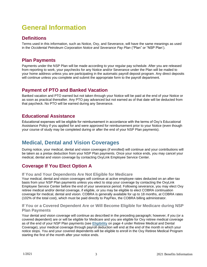# **General Information**

# <span id="page-3-0"></span>**Definitions**

Terms used in this information, such as Notice, Oxy, and Severance, will have the same meanings as used in the *Occidental Petroleum Corporation Notice and Severance Pay Plan* ("Plan" or "NSP Plan').

#### <span id="page-3-1"></span>**Plan Payments**

Payments under the NSP Plan will be made according to your regular pay schedule. After you are released from reporting to work, your paychecks for any Notice and/or Severance under the Plan will be mailed to your home address unless you are participating in the automatic payroll deposit program. Any direct deposits will continue unless you complete and submit the appropriate form to the payroll department.

# <span id="page-3-2"></span>**Payment of PTO and Banked Vacation**

Banked vacation and PTO earned but not taken through your Notice will be paid at the end of your Notice or as soon as practical thereafter. Any PTO pay advanced but not earned as of that date will be deducted from that paycheck. No PTO will be earned during any Severance.

### <span id="page-3-3"></span>**Educational Assistance**

Educational expenses will be eligible for reimbursement in accordance with the terms of Oxy's Educational Assistance Policy if you applied for and were approved for reimbursement prior to your Notice (even though your course of study may be completed during or after the end of your NSP Plan payments).

# <span id="page-3-4"></span>**Medical, Dental and Vision Coverages**

During notice, your medical, dental and vision coverages (if enrolled) will continue and your contributions will be taken as a pretax deduction from your NSP Plan payments. Once your notice ends, you may cancel your medical, dental and vision coverage by contacting OxyLink Employee Service Center.

### <span id="page-3-5"></span>**Coverage If You Elect Option A**

#### **If You and Your Dependents Are Not Eligible for Medicare**

Your medical, dental and vision coverages will continue at active employee rates deducted on an after-tax basis from your NSP Plan payments unless you elect to stop your coverage by contacting the OxyLink Employee Service Center before the end of your severance period. Following severance, you may elect Oxy retiree medical and/or dental coverage, if eligible, or you may be eligible to elect COBRA continuation coverage for medical, dental and vision. COBRA is generally available for up to 18 months, at COBRA rates (102% of the total cost), which must be paid directly to PayFlex, the COBRA billing administrator.

#### **If You or a Covered Dependent Are or Will Become Eligible for Medicare during NSP Plan Payments**

Your dental and vision coverage will continue as described in the preceding paragraph; however, if you (or a covered dependent) are or will be eligible for Medicare and you are eligible for Oxy retiree medical coverage as of the end of your NSP Plan payments (see **[Eligibility](file:///C:/Users/mbisceglia/AppData/Local/Microsoft/Windows/INetCache/Content.Outlook/72J2WT1I/Notice%20and%20Severance%20Pay.pdf)** on page 4 under Retiree Medical and Dental Coverage), your medical coverage through payroll deduction will end at the end of the month in which your notice stops. You and your covered dependents will be eligible to enroll in the Oxy Retiree Medical Program starting the first of the month after your notice ends.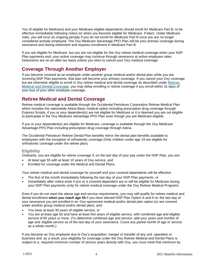You (if eligible for Medicare) and your Medicare-eligible dependents should enroll for Medicare Part B, to be effective immediately following notice (or when you become eligible for Medicare, if later). Under Medicare rules, you will incur an ongoing penalty if you do not enroll for Medicare Part B once you are no longer considered actively employed. The Oxy Medicare Advantage PPO Plan will be your primary coverage during severance and during retirement and requires enrollment in Medicare Part B.

If you are eligible for Medicare, but you are not eligible for the Oxy retiree medical coverage when your NSP Plan payments end, your active coverage may continue through severance at active employee rates. Deductions are on an after-tax basis unless you elect to cancel your Oxy medical coverage.

# <span id="page-4-0"></span>**Coverage Through Another Employer**

If you become covered as an employee under another group medical and/or dental plan while you are receiving NSP Plan payments, that plan will become your primary coverage. If you cancel your Oxy coverage but are otherwise eligible to enroll in Oxy retiree medical and dental coverage as described under **Retiree Medical and Dental Coverage**, you may delay enrolling in retiree coverage if you enroll within 31 days of your loss of your other employer coverage.

# <span id="page-4-1"></span>**Retiree Medical and Dental Coverage**

Retiree medical coverage is available through the Occidental Petroleum Corporation Retiree Medical Plan which includes the nationwide Aetna Basic medical option including prescription drug coverage through Express Scripts, if you or your dependent(s) are not eligible for Medicare or it is deemed you are not eligible to participate in the Oxy Medicare Advantage PPO Plan even though you are Medicare-eligible.

If you or your dependent(s) are eligible for Medicare, coverage is available through the Oxy Medicare Advantage PPO Plan including prescription drug coverage through Aetna.

The Occidental Petroleum Retiree Dental Plan benefits mirror the dental plan benefits available to employees with the exception of orthodontic coverage (Only children under age 19 are eligible for orthodontic coverage under the retiree plan).

#### **Eligibility**

Ordinarily, you are eligible for retiree coverage if, on the last day of your pay under the NSP Plan, you are:

- At least age 55 with at least 10 years of Oxy service, and
- Enrolled for coverage under the Medical and Dental Plans.

Your retiree medical and dental coverage for yourself and your covered dependents will be effective:

- The first of the month immediately following the last day of your NSP Plan payments, or
- Immediately after notice ends if you or a covered dependent are or will be eligible for Medicare during your NSP Plan payments (only for retiree medical coverage under the Oxy Retiree Medical Program).

Even if you do not meet the above age and service requirements, you may still qualify for retiree medical and dental enrollment **when you reach age 55** if you have elected NSP Plan Option A and if on the last day of your severance you are enrolled in an Oxy-sponsored medical and/or dental plan option (or are covered under another group medical and/or dental plan), and:

- You have at least 30 years of eligible service, or
- You are at least age 50 and have at least five years of eligible service, with combined age and eligible service of 65 years or more. (To determine combined age and service, add your years and months of age and eligible service as of the last day of your severance. Count any partial month of age or service as a whole month.)

If you became an Oxy employee due to Oxy's acquisition, merger or transfer of any unit, operation or business and as a result, your eligibility for coverage under the Oxy Retiree Medical and Dental Plans is subject to a required minimum number of service years directly with Oxy, you must meet that minimum by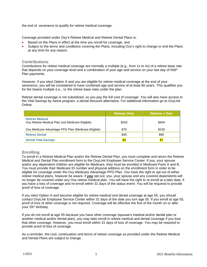the end of severance to qualify for retiree medical coverage.

Coverage provided under Oxy's Retiree Medical and Retiree Dental Plans is:

- Based on the Plans in effect at the time you enroll for coverage, and
- Subject to the terms and conditions covering the Plans, including Oxy's right to change or end the Plans at any time for any reason.

#### <span id="page-5-0"></span>**Contributions**

Contributions for retiree medical coverage are normally a multiple (e.g., from 1x to 4x) of a retiree base rate that depends on your coverage level and a combination of your age and service on your last day of NSP Plan payments.

However, if you elect Option A and you are eligible for retiree medical coverage at the end of your severance, you will be considered to have combined age and service of at least 80 years. This qualifies you for the lowest multiple (i.e., 1x the retiree base rate) under the plan.

Retiree dental coverage is not subsidized, so you pay the full cost of coverage. You will also have access to the Vital Savings by Aetna program, a dental discount alternative. For additional information go to OxyLink Online.

|                                                                            | <b>Retiree Only</b> | <b>Retiree + One</b> |
|----------------------------------------------------------------------------|---------------------|----------------------|
| <b>Retiree Medical</b><br>Oxy Retiree Medical Plan (not Medicare-Eligible) | \$202               | \$404                |
| Oxy Medicare Advantage PPO Plan (Medicare-Eligible)                        | \$75                | \$150                |
| <b>Retiree Dental</b>                                                      | \$45                | \$90                 |
| <b>Dental Vital Savings</b>                                                | \$4                 | $\overline{\$7}$     |

#### **Enrolling**

To enroll in a Retiree Medical Plan and/or the Retiree Dental Plan, you must complete and return the Retiree Medical and Dental Plan enrollment form to the OxyLink Employee Service Center. If you, your spouse and/or any dependent children are eligible for Medicare, they must be enrolled in Medicare Parts A and B, You must provide their Medicare ID number and physical address on the enrollment form in order to be eligible for coverage under the Oxy Medicare Advantage PPO Plan. You have the right to opt out of either retiree medical plans, however be aware, if *you* opt-out, you, your spouse and any covered dependents will no longer be covered under any Oxy retiree medical plan. You will have the right to re-enroll at a later date, if you have a loss of coverage and re-enroll within 31 days of the status event. You will be required to provide proof of loss of coverage.

If you elect Option A and become eligible for retiree medical and dental coverage at age 55, you should contact OxyLink Employee Service Center within 31 days of the date you turn age 55. If you enroll at age 55, proof of loss of other coverage is not required. Coverage will be effective the first of the month on or after your 55<sup>th</sup> birthday.

If you do not enroll at age 55 because you have other coverage (spouse's medical and/or dental plan or another medical and/or dental plan), you may later enroll in retiree medical and dental coverage if you lose that other coverage. However, you must enroll within 31 days of loss of coverage. You may be required to provide proof of loss of coverage.

As a reminder, the cost, continuation and terms of retiree coverage as provided under the Retiree Medical and Dental Plans are subject to change.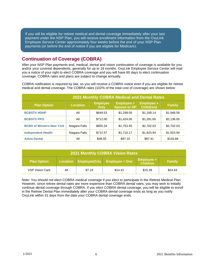If you will be eligible for retiree medical and dental coverage immediately after your last payment under the NSP Plan, you will receive enrollment information from the OxyLink Employee Service Center approximately four weeks before the end of your NSP Plan payments (or before the end of notice if you are eligible for Medicare).

#### <span id="page-6-0"></span>**Continuation of Coverage (COBRA)**

After your NSP Plan payments end, medical, dental and vision continuation of coverage is available for you and/or your covered dependents, generally for up to 18 months. OxyLink Employee Service Center will mail you a notice of your right to elect COBRA coverage and you will have 60 days to elect continuation coverage. COBRA rates and plans are subject to change annually.

COBRA notification is required by law, so you will receive a COBRA notice even if you are eligible for retiree medical and dental coverage. The COBRA rates (102% of the total cost of coverage) are shown below:

| 2021 Monthly COBRA Medical and Dental Rates |                 |                                |                                   |                                 |               |
|---------------------------------------------|-----------------|--------------------------------|-----------------------------------|---------------------------------|---------------|
| <b>Plan Option</b>                          | <b>Location</b> | <b>Employee</b><br><b>Only</b> | Employee +<br><b>Spouse or DP</b> | <b>Employee +</b><br>Child(ren) | <b>Family</b> |
| <b>BCBSTX HDHP</b>                          | All             | \$649.53                       | \$1,299.05                        | \$1,169.14                      | \$1,948.58    |
| <b>BCBSTX PPO</b>                           | All             | \$712.00                       | \$1,424.00                        | \$1,281.60                      | \$2,136.00    |
| <b>BCBS of Western New York</b>             | Niagara Falls   | \$855.34                       | \$1,753.45                        | \$2,702.03                      | \$2,702.03    |
| <b>Independent Health</b>                   | Niagara Falls   | \$712.57                       | \$1,710.17                        | \$1,923.94                      | \$1,923.94    |
| <b>Aetna Dental</b>                         | All             | \$48.55                        | \$97.10                           | \$87.41                         | \$145.66      |

| <b>2021 Monthly COBRA Vision Rates</b> |     |                       |                       |                                      |               |
|----------------------------------------|-----|-----------------------|-----------------------|--------------------------------------|---------------|
| <b>Plan Option</b>                     |     | Location EmployeeOnly | <b>Employee + One</b> | <b>Employee +</b><br><b>Children</b> | <b>Family</b> |
| <b>VSP Vision Care</b>                 | Αll | \$7.19                | \$14.41               | \$15.39                              | \$24.63       |

Note: You should not elect COBRA medical coverage if you elect to participate in the Retiree Medical Plan. However, since retiree dental rates are more expensive than COBRA dental rates, you may wish to initially continue dental coverage through COBRA. If you elect COBRA dental coverage, you will be eligible to enroll in the Retiree Dental Plan immediately after your COBRA dental coverage ends as long as you notify OxyLink within 31 days from the date your COBRA dental coverage ends.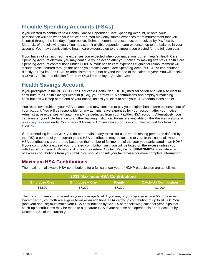# <span id="page-7-0"></span>**Flexible Spending Accounts (FSAs)**

If you elected to contribute to a Health Care or Dependent Care Spending Account, or both, your participation will end when your notice ends. You may only submit expenses for reimbursement that you incurred through the last day of your notice. Reimbursement requests must be received by PayFlex by March 31 of the following year. You may submit eligible dependent care expenses up to the balance in your account. You may submit eligible health care expenses up to the amount you elected for the full plan year.

If you have not yet incurred the expenses you expected when you made your current year's Health Care Spending Account election, you may continue your election after your notice by making after-tax Health Care Spending Account contributions under COBRA. Your health care expenses eligible for reimbursement will include those incurred through the period you make Health Care Spending Account COBRA contributions directly to PayFlex (the COBRA administrator), but not beyond the end of the calendar year. You will receive a COBRA notice and election form from OxyLink Employee Service Center.

# <span id="page-7-1"></span>**Health Savings Account**

If you participate in the BCBSTX High Deductible Health Plan (HDHP) medical option and you also elect to contribute to a Health Savings Account (HSA), your pretax HSA contributions and employer matching contributions will stop at the end of your notice, unless you elect to stop your HSA contributions earlier.

You retain ownership of your HSA balance and may continue to pay your eligible health care expenses out of your account. You will be responsible for any administrative expenses for your account after your notice. Administrative expenses will automatically be deducted from your PayFlex HSA account. Alternatively, you can transfer your HSA balance to another banking institution. Forms are available on the PayFlex website at **www.payflex.com** under *Documents & Forms > Administrative Forms* or you may request this form from OxyLink.

If, after enrolling in an HDHP, you do not remain in any HDHP for a 12-month testing period (as defined by the IRS), a portion of your current year's HSA contribution may be taxable to you. In this case, allowable HSA contributions are prorated based on the number of full months of the year you participated in an HDHP. If your contributions exceed your prorated contribution limit, you will be taxed on the excess unless you withdraw it from your HSA before filing your tax return. Contact PayFlex at **888-678-8242** to initiate a return of excess contributions from your HSA. You should consult your tax adviser for more complete information.

### <span id="page-7-2"></span>**Maximum HSA Contributions**

The maximum allowable HSA contributions for a full calendar year of HDHP participation are as follows:

| <b>2021 Maximum HSA Contributions</b> |                       |               |                              |  |
|---------------------------------------|-----------------------|---------------|------------------------------|--|
| <b>Employee Only</b>                  | <b>Employee + One</b> | <b>Family</b> | <b>Catch-Up Contribution</b> |  |
| \$3,600                               | \$7,200               | \$7,200       | \$1,000                      |  |

The maximum amount is based on your coverage level. If you are, or your spouse is, age 55 or older as of December 31, you both are eligible to make an additional HSA catch-up contribution of up to \$1,000. You (and your spouse) must make your HSA contributions by April 15 of the following calendar year. Spousal catch-up contributions may be made to a separate HSA if your spouse has opened his or her account by December 31 of the current year.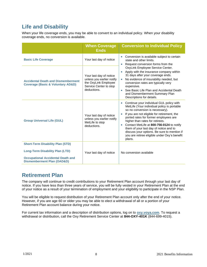# <span id="page-8-0"></span>**Life and Disability**

When your life coverage ends, you may be able to convert to an individual policy. When your disability coverage ends, no conversion is available.

|                                                                                                                                                                        | <b>When Coverage</b><br><b>Ends</b>                                                                                   | <b>Conversion to Individual Policy</b>                                                                                                                                                                                                                                                                                                                                                                                                                             |
|------------------------------------------------------------------------------------------------------------------------------------------------------------------------|-----------------------------------------------------------------------------------------------------------------------|--------------------------------------------------------------------------------------------------------------------------------------------------------------------------------------------------------------------------------------------------------------------------------------------------------------------------------------------------------------------------------------------------------------------------------------------------------------------|
| <b>Basic Life Coverage</b>                                                                                                                                             | Your last day of notice                                                                                               | Conversion is available subject to certain<br>$\bullet$<br>state and other limits.<br>Request conversion forms from the                                                                                                                                                                                                                                                                                                                                            |
| <b>Accidental Death and Dismemberment</b><br><b>Coverage (Basic &amp; Voluntary AD&amp;D)</b>                                                                          | Your last day of notice<br>unless you earlier notify<br>the OxyLink Employee<br>Service Center to stop<br>deductions. | OxyLink Employee Service Center.<br>Apply with the insurance company within<br>$\bullet$<br>31 days after your coverage ends.<br>No evidence of insurability needed, but<br>conversion rates are typically very<br>expensive.<br>See Basic Life Plan and Accidental Death<br>and Dismemberment Summary Plan<br>Descriptions for details.                                                                                                                           |
| <b>Group Universal Life (GUL)</b>                                                                                                                                      | Your last day of notice<br>unless you earlier notify<br>MetLife to stop<br>deductions.                                | Continue your individual GUL policy with<br>$\bullet$<br>MetLife (Your individual policy is portable<br>so no conversion is necessary).<br>If you are not eligible for retirement, the<br>ported rates for former employees are<br>higher than rates for retirees.<br>Contact MetLife at 800-756-0124 to notify<br>them of your last day of notice and to<br>discuss your options. Be sure to mention if<br>you are retiree eligible under Oxy's benefit<br>plans. |
| <b>Short-Term Disability Plan (STD)</b><br><b>Long-Term Disability Plan (LTD)</b><br><b>Occupational Accidental Death and</b><br><b>Dismemberment Plan (OAD&amp;D)</b> | Your last day of notice                                                                                               | No conversion available                                                                                                                                                                                                                                                                                                                                                                                                                                            |

# <span id="page-8-1"></span>**Retirement Plan**

The company will continue to credit contributions to your Retirement Plan account through your last day of notice. If you have less than three years of service, you will be fully vested in your Retirement Plan at the end of your notice as a result of your termination of employment and your eligibility to participate in the NSP Plan.

You will be eligible to request distribution of your Retirement Plan account only after the end of your notice. However, if you are age 60 or older you may be able to elect a withdrawal of all or a portion of your Retirement Plan account balance during your notice.

For current tax information and a description of distribution options, log on to **[oxy.voya.com](http://oxy.voya.com/)**. To request a withdrawal or distribution, call the Oxy Retirement Service Center at **844-OXY-401K** (844-699-4015).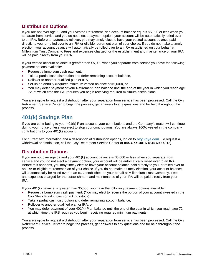# <span id="page-9-0"></span>**Distribution Options**

If you are not over age 62 and your vested Retirement Plan account balance equals \$5,000 or less when you separate from service and you do not elect a payment option, your account will be automatically rolled over to an IRA. Before an automatic rollover, you may timely elect to have your vested account balance paid directly to you, or rolled over to an IRA or eligible retirement plan of your choice. If you do not make a timely election, your account balance will automatically be rolled over to an IRA established on your behalf at Millennium Trust Company. Fees and expenses charged for the establishment and maintenance of your IRA will be paid directly from your IRA.

If your vested account balance is greater than \$5,000 when you separate from service you have the following payment options available:

- Request a lump sum cash payment,
- Take a partial cash distribution and defer remaining account balance,
- Rollover to another qualified plan or IRA,
- Set up an annuity (requires minimum vested balance of \$5,000), or
- You may defer payment of your Retirement Plan balance until the end of the year in which you reach age 72, at which time the IRS requires you begin receiving required minimum distributions.

You are eligible to request a distribution after your separation from service has been processed. Call the Oxy Retirement Service Center to begin the process, get answers to any questions and for help throughout the process.

# <span id="page-9-1"></span>**401(k) Savings Plan**

If you are contributing to your 401(k) Plan account, your contributions and the Company's match will continue during your notice unless you elect to stop your contributions. You are always 100% vested in the company contributions to your 401(k) account.

For current tax information and a description of distribution options, log on to **[oxy.voya.com](http://oxy.voya.com/)**. To request a withdrawal or distribution, call the Oxy Retirement Service Center at **844-OXY-401K** (844-699-4015).

### <span id="page-9-2"></span>**Distribution Options**

If you are not over age 62 and your 401(k) account balance is \$5,000 or less when you separate from service and you do not elect a payment option, your account will be automatically rolled over to an IRA. Before this happens, you may timely elect to have your account balance paid directly to you, or rolled over to an IRA or eligible retirement plan of your choice. If you do not make a timely election, your account balance will automatically be rolled over to an IRA established on your behalf at Millennium Trust Company. Fees and expenses charged for the establishment and maintenance of your IRA will be paid directly from your IRA.

If your 401(k) balance is greater than \$5,000, you have the following payment options available:

- Request a Lump sum cash payment. (You may elect to receive the portion of your account invested in the Oxy Stock Fund in cash or in kind (stock),
- Take a partial cash distribution and defer remaining account balance,
- Rollover to another qualified plan or IRA, or
- You may defer payment of your 401(k) Plan balance until the end of the year in which you reach age 72, at which time the IRS requires you begin receiving required minimum payments.

You are eligible to request a distribution after your separation from service has been processed. Call the Oxy Retirement Service Center to begin the process, get answers to any questions and for help throughout the process.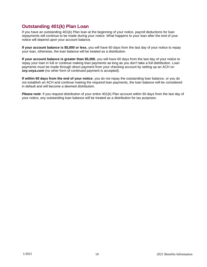# <span id="page-10-0"></span>**Outstanding 401(k) Plan Loan**

If you have an outstanding 401(k) Plan loan at the beginning of your notice, payroll deductions for loan repayments will continue to be made during your notice. What happens to your loan after the end of your notice will depend upon your account balance.

**If your account balance is \$5,000 or less**, you will have 60 days from the last day of your notice to repay your loan, otherwise, the loan balance will be treated as a distribution.

**If your account balance is greater than \$5,000**, you will have 60 days from the last day of your notice to repay your loan in full or continue making loan payments as long as you don't take a full distribution. Loan payments must be made through direct payment from your checking account by setting up an ACH on *oxy.voya.com* (no other form of continued payment is accepted).

**If within 60 days from the end of your notice**, you do not repay the outstanding loan balance, or you do not establish an ACH and continue making the required loan payments, the loan balance will be considered in default and will become a deemed distribution.

*Please note*: If you request distribution of your entire 401(k) Plan account within 60 days from the last day of your notice, any outstanding loan balance will be treated as a distribution for tax purposes.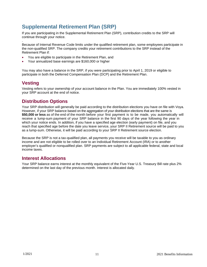# <span id="page-11-0"></span>**Supplemental Retirement Plan (SRP)**

If you are participating in the Supplemental Retirement Plan (SRP), contribution credits to the SRP will continue through your notice.

. Because of Internal Revenue Code limits under the qualified retirement plan, some employees participate in the non-qualified SRP. The company credits your retirement contributions to the SRP instead of the Retirement Plan if:

- You are eligible to participate in the Retirement Plan, and
- Your annualized base earnings are \$160,000 or higher

<span id="page-11-1"></span>You may also have a balance in the SRP, if you were participating prior to April 1, 2019 or eligible to participate in both the Deferred Compensation Plan (DCP) and the Retirement Plan.

# **Vesting**

Vesting refers to your ownership of your account balance in the Plan. You are immediately 100% vested in your SRP account at the end of notice.

### <span id="page-11-2"></span>**Distribution Options**

Your SRP distribution will generally be paid according to the distribution elections you have on file with Voya. However, if your SRP balance based on the aggregation of your distribution elections that are the same is **\$50,000 or less** as of the end of the month before your first payment is to be made, you automatically will receive a lump-sum payment of your SRP balance in the first 90 days of the year following the year in which your notice ends. In addition, if you have a specified age election (early payment) on file, and you reach that specified age before the date you leave service, your SRP II Retirement source will be paid to you as a lump-sum. Otherwise, it will be paid according to your SRP II Retirement source election.

Because the SRP is not a tax-qualified plan, all payments you receive will be taxable to you as ordinary income and are not eligible to be rolled over to an Individual Retirement Account (IRA) or to another employer's qualified or nonqualified plan. SRP payments are subject to all applicable federal, state and local income taxes.

### <span id="page-11-3"></span>**Interest Allocations**

Your SRP balance earns interest at the monthly equivalent of the Five-Year U.S. Treasury Bill rate plus 2% determined on the last day of the previous month. Interest is allocated daily.